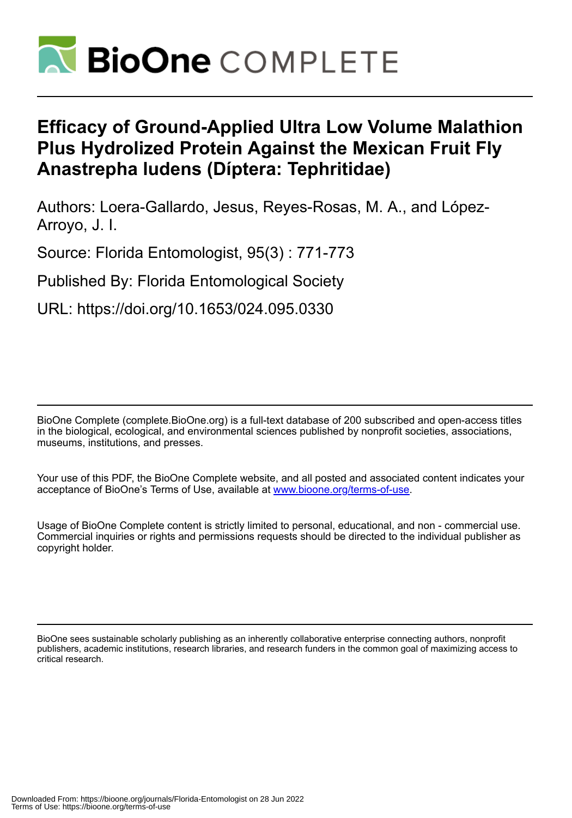

## **Efficacy of Ground-Applied Ultra Low Volume Malathion Plus Hydrolized Protein Against the Mexican Fruit Fly Anastrepha ludens (Díptera: Tephritidae)**

Authors: Loera-Gallardo, Jesus, Reyes-Rosas, M. A., and López-Arroyo, J. I.

Source: Florida Entomologist, 95(3) : 771-773

Published By: Florida Entomological Society

URL: https://doi.org/10.1653/024.095.0330

BioOne Complete (complete.BioOne.org) is a full-text database of 200 subscribed and open-access titles in the biological, ecological, and environmental sciences published by nonprofit societies, associations, museums, institutions, and presses.

Your use of this PDF, the BioOne Complete website, and all posted and associated content indicates your acceptance of BioOne's Terms of Use, available at www.bioone.org/terms-of-use.

Usage of BioOne Complete content is strictly limited to personal, educational, and non - commercial use. Commercial inquiries or rights and permissions requests should be directed to the individual publisher as copyright holder.

BioOne sees sustainable scholarly publishing as an inherently collaborative enterprise connecting authors, nonprofit publishers, academic institutions, research libraries, and research funders in the common goal of maximizing access to critical research.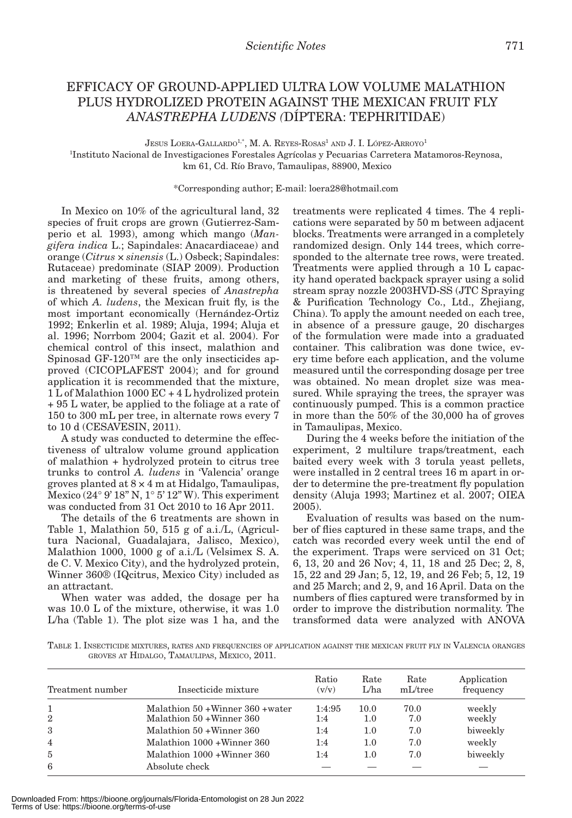## EFFICACY OF GROUND-APPLIED ULTRA LOW VOLUME MALATHION PLUS HYDROLIZED PROTEIN AGAINST THE MEXICAN FRUIT FLY *ANASTREPHA LUDENS (*DÍPTERA: TEPHRITIDAE)

JESUS LOERA-GALLARDO<sup>1,\*</sup>, M. A. REYES-ROSAS<sup>1</sup> AND J. I. LÓPEZ-ARROYO<sup>1</sup>

1 Instituto Nacional de Investigaciones Forestales Agrícolas y Pecuarias Carretera Matamoros-Reynosa, km 61, Cd. Río Bravo, Tamaulipas, 88900, Mexico

\*Corresponding author; E-mail: loera28@hotmail.com

In Mexico on 10% of the agricultural land, 32 species of fruit crops are grown (Gutierrez-Samperio et al*.* 1993), among which mango (*Mangifera indica* L.; Sapindales: Anacardiaceae) and orange (*Citrus* × *sinensis* (L.) Osbeck; Sapindales: Rutaceae) predominate (SIAP 2009). Production and marketing of these fruits, among others, is threatened by several species of *Anastrepha* of which *A. ludens*, the Mexican fruit fly, is the most important economically (Hernández-Ortiz 1992; Enkerlin et al. 1989; Aluja, 1994; Aluja et al. 1996; Norrbom 2004; Gazit et al. 2004). For chemical control of this insect, malathion and Spinosad GF-120™ are the only insecticides approved (CICOPLAFEST 2004); and for ground application it is recommended that the mixture, 1 L of Malathion 1000 EC + 4 L hydrolized protein + 95 L water, be applied to the foliage at a rate of 150 to 300 mL per tree, in alternate rows every 7 to 10 d (CESAVESIN, 2011).

A study was conducted to determine the effectiveness of ultralow volume ground application of malathion + hydrolyzed protein to citrus tree trunks to control *A. ludens* in 'Valencia' orange groves planted at 8 × 4 m at Hidalgo, Tamaulipas, Mexico ( $24^{\circ}$  9' 18" N, 1° 5' 12" W). This experiment was conducted from 31 Oct 2010 to 16 Apr 2011.

The details of the 6 treatments are shown in Table 1, Malathion 50, 515 g of a.i./L, (Agricultura Nacional, Guadalajara, Jalisco, Mexico), Malathion 1000, 1000 g of a.i./L (Velsimex S. A. de C. V. Mexico City), and the hydrolyzed protein, Winner 360® (IQcitrus, Mexico City) included as an attractant.

When water was added, the dosage per ha was 10.0 L of the mixture, otherwise, it was 1.0 L/ha (Table 1). The plot size was 1 ha, and the treatments were replicated 4 times. The 4 replications were separated by 50 m between adjacent blocks. Treatments were arranged in a completely randomized design. Only 144 trees, which corresponded to the alternate tree rows, were treated. Treatments were applied through a 10 L capacity hand operated backpack sprayer using a solid stream spray nozzle 2003HVD-SS (JTC Spraying & Purification Technology Co., Ltd., Zhejiang, China). To apply the amount needed on each tree, in absence of a pressure gauge, 20 discharges of the formulation were made into a graduated container. This calibration was done twice, every time before each application, and the volume measured until the corresponding dosage per tree was obtained. No mean droplet size was measured. While spraying the trees, the sprayer was continuously pumped. This is a common practice in more than the 50% of the 30,000 ha of groves in Tamaulipas, Mexico.

During the 4 weeks before the initiation of the experiment, 2 multilure traps/treatment, each baited every week with 3 torula yeast pellets, were installed in 2 central trees 16 m apart in order to determine the pre-treatment fly population density (Aluja 1993; Martinez et al. 2007; OIEA 2005).

Evaluation of results was based on the number of flies captured in these same traps, and the catch was recorded every week until the end of the experiment. Traps were serviced on 31 Oct; 6, 13, 20 and 26 Nov; 4, 11, 18 and 25 Dec; 2, 8, 15, 22 and 29 Jan; 5, 12, 19, and 26 Feb; 5, 12, 19 and 25 March; and 2, 9, and 16 April. Data on the numbers of flies captured were transformed by in order to improve the distribution normality. The transformed data were analyzed with ANOVA

TABLE 1. INSECTICIDE MIXTURES, RATES AND FREQUENCIES OF APPLICATION AGAINST THE MEXICAN FRUIT FLY IN VALENCIA ORANGES GROVES AT HIDALGO, TAMAULIPAS, MEXICO, 2011.

| Treatment number | Insecticide mixture                                            | Ratio<br>(v/v) | Rate<br>L/ha | Rate<br>mL/tree | Application<br>frequency |
|------------------|----------------------------------------------------------------|----------------|--------------|-----------------|--------------------------|
| 2                | Malathion 50 + Winner 360 + water<br>Malathion 50 + Winner 360 | 1:4:95<br>1:4  | 10.0<br>1.0  | 70.0<br>7.0     | weekly<br>weekly         |
| 3                | Malathion 50 + Winner 360                                      | 1:4            | 1.0          | 7.0             | biweekly                 |
| $\overline{4}$   | Malathion 1000 + Winner 360                                    | 1:4            | 1.0          | 7.0             | weekly                   |
| $\overline{5}$   | Malathion 1000 + Winner 360                                    | 1:4            | 1.0          | 7.0             | biweekly                 |
| 6                | Absolute check                                                 |                |              |                 |                          |

Downloaded From: https://bioone.org/journals/Florida-Entomologist on 28 Jun 2022 Terms of Use: https://bioone.org/terms-of-use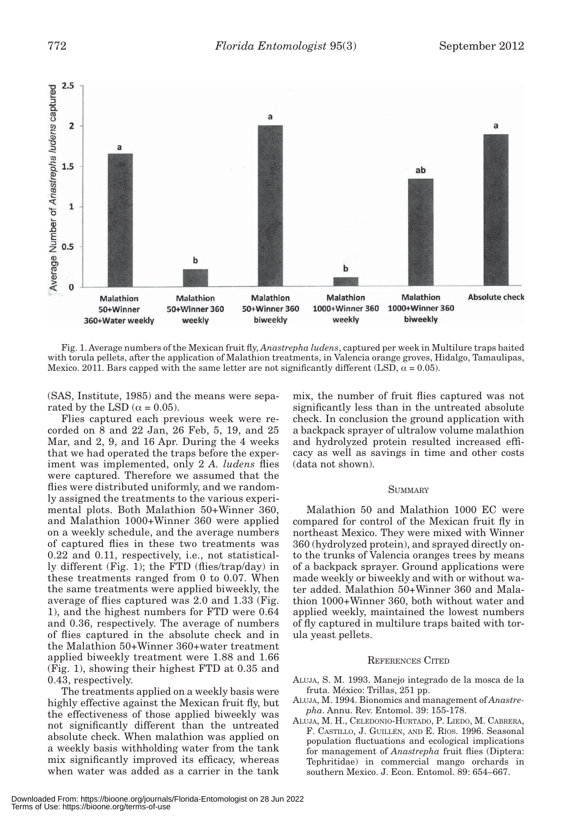

Fig. 1. Average numbers of the Mexican fruit fly, *Anastrepha ludens*, captured per week in Multilure traps baited with torula pellets, after the application of Malathion treatments, in Valencia orange groves, Hidalgo, Tamaulipas, Mexico. 2011. Bars capped with the same letter are not significantly different (LSD,  $\alpha = 0.05$ ).

(SAS, Institute, 1985) and the means were separated by the LSD ( $\alpha$  = 0.05).

Flies captured each previous week were recorded on 8 and 22 Jan, 26 Feb, 5, 19, and 25 Mar, and 2, 9, and 16 Apr. During the 4 weeks that we had operated the traps before the experiment was implemented, only 2 *A. ludens* flies were captured. Therefore we assumed that the flies were distributed uniformly, and we randomly assigned the treatments to the various experimental plots. Both Malathion 50+Winner 360, and Malathion 1000+Winner 360 were applied on a weekly schedule, and the average numbers of captured flies in these two treatments was 0.22 and 0.11, respectively, i.e., not statistically different (Fig. 1); the FTD (flies/trap/day) in these treatments ranged from 0 to 0.07. When the same treatments were applied biweekly, the average of flies captured was 2.0 and 1.33 (Fig. 1), and the highest numbers for FTD were 0.64 and 0.36, respectively. The average of numbers of flies captured in the absolute check and in the Malathion 50+Winner 360+water treatment applied biweekly treatment were 1.88 and 1.66 (Fig. 1), showing their highest FTD at 0.35 and 0.43, respectively.

The treatments applied on a weekly basis were highly effective against the Mexican fruit fly, but the effectiveness of those applied biweekly was not significantly different than the untreated absolute check. When malathion was applied on a weekly basis withholding water from the tank mix significantly improved its efficacy, whereas when water was added as a carrier in the tank mix, the number of fruit flies captured was not significantly less than in the untreated absolute check. In conclusion the ground application with a backpack sprayer of ultralow volume malathion and hydrolyzed protein resulted increased efficacy as well as savings in time and other costs (data not shown).

## **SUMMARY**

Malathion 50 and Malathion 1000 EC were compared for control of the Mexican fruit fly in northeast Mexico. They were mixed with Winner 360 (hydrolyzed protein), and sprayed directly onto the trunks of Valencia oranges trees by means of a backpack sprayer. Ground applications were made weekly or biweekly and with or without water added. Malathion 50+Winner 360 and Malathion 1000+Winner 360, both without water and applied weekly, maintained the lowest numbers of fly captured in multilure traps baited with torula yeast pellets.

## REFERENCES CITED

- ALUJA, S. M. 1993. Manejo integrado de la mosca de la fruta. México: Trillas, 251 pp.
- ALUJA, M. 1994. Bionomics and management of *Anastrepha*. Annu. Rev. Entomol. 39: 155-178.
- ALUJA, M. H., CELEDONIO-HURTADO, P. LIEDO, M. CABRERA, F. CASTILLO, J. GUILLÉN, AND E. RÍOS. 1996. Seasonal population fluctuations and ecological implications for management of *Anastrepha* fruit flies (Diptera: Tephritidae) in commercial mango orchards in southern Mexico. J. Econ. Entomol. 89: 654–667.